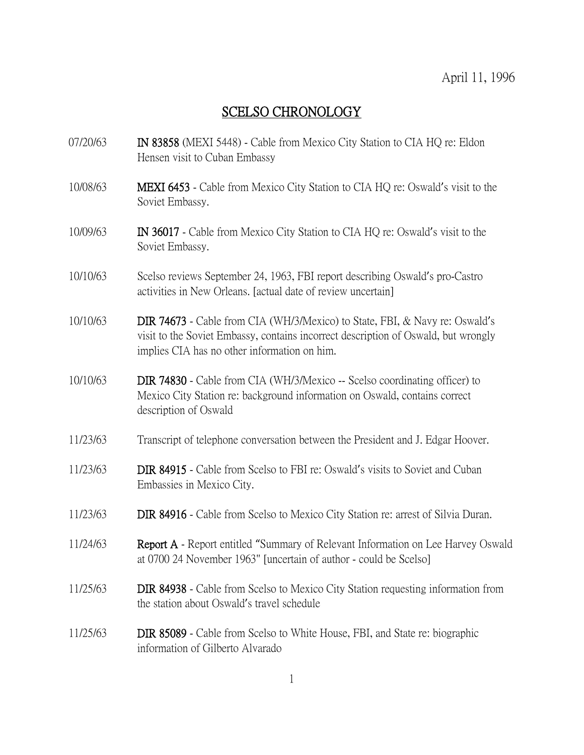## SCELSO CHRONOLOGY

- 07/20/63 IN 83858 (MEXI 5448) Cable from Mexico City Station to CIA HQ re: Eldon Hensen visit to Cuban Embassy
- 10/08/63 MEXI 6453 Cable from Mexico City Station to CIA HQ re: Oswald's visit to the Soviet Embassy.
- 10/09/63 IN 36017 Cable from Mexico City Station to CIA HQ re: Oswald's visit to the Soviet Embassy.
- 10/10/63 Scelso reviews September 24, 1963, FBI report describing Oswald's pro-Castro activities in New Orleans. [actual date of review uncertain]
- 10/10/63 DIR 74673 Cable from CIA (WH/3/Mexico) to State, FBI, & Navy re: Oswald's visit to the Soviet Embassy, contains incorrect description of Oswald, but wrongly implies CIA has no other information on him.
- 10/10/63 DIR 74830 Cable from CIA (WH/3/Mexico -- Scelso coordinating officer) to Mexico City Station re: background information on Oswald, contains correct description of Oswald
- 11/23/63 Transcript of telephone conversation between the President and J. Edgar Hoover.
- 11/23/63 DIR 84915 Cable from Scelso to FBI re: Oswald's visits to Soviet and Cuban Embassies in Mexico City.
- 11/23/63 DIR 84916 Cable from Scelso to Mexico City Station re: arrest of Silvia Duran.
- 11/24/63 Report A Report entitled "Summary of Relevant Information on Lee Harvey Oswald at 0700 24 November 1963" [uncertain of author - could be Scelso]
- 11/25/63 DIR 84938 Cable from Scelso to Mexico City Station requesting information from the station about Oswald's travel schedule
- 11/25/63 DIR 85089 Cable from Scelso to White House, FBI, and State re: biographic information of Gilberto Alvarado